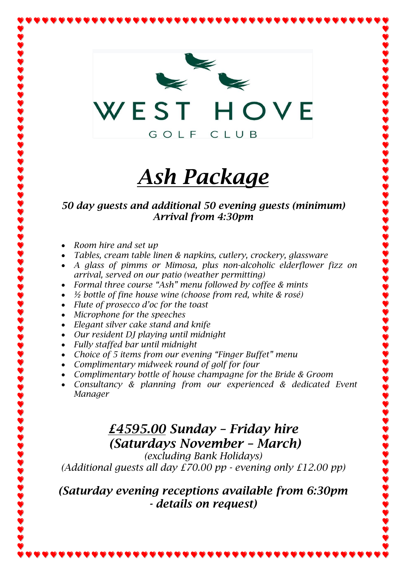

# *Ash Package*

#### *50 day guests and additional 50 evening guests (minimum) Arrival from 4:30pm*

- *Room hire and set up*
- *Tables, cream table linen & napkins, cutlery, crockery, glassware*
- *A glass of pimms or Mimosa, plus non-alcoholic elderflower fizz on arrival, served on our patio (weather permitting)*
- *Formal three course "Ash" menu followed by coffee & mints*
- *½ bottle of fine house wine (choose from red, white & rosé)*
- *Flute of prosecco d'oc for the toast*
- *Microphone for the speeches*
- *Elegant silver cake stand and knife*
- *Our resident DJ playing until midnight*
- *Fully staffed bar until midnight*
- *Choice of 5 items from our evening "Finger Buffet" menu*
- *Complimentary midweek round of golf for four*
- *Complimentary bottle of house champagne for the Bride & Groom*
- *Consultancy & planning from our experienced & dedicated Event Manager*

## *£4595.00 Sunday – Friday hire (Saturdays November – March)*

*(excluding Bank Holidays) (Additional guests all day £70.00 pp - evening only £12.00 pp)*

#### *(Saturday evening receptions available from 6:30pm - details on request)*